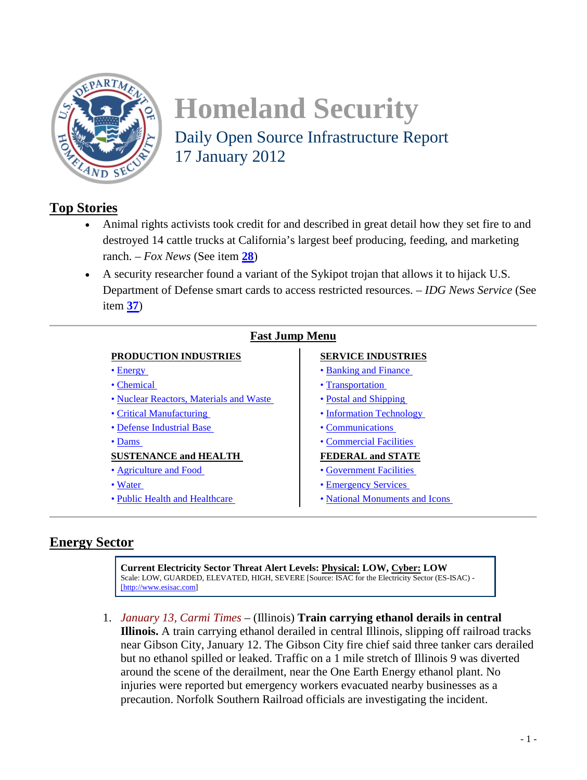<span id="page-0-1"></span>

# **Homeland Security**  Daily Open Source Infrastructure Report 17 January 2012

# **Top Stories**

- Animal rights activists took credit for and described in great detail how they set fire to and destroyed 14 cattle trucks at California's largest beef producing, feeding, and marketing ranch. – *Fox News* (See item **[28](#page-10-0)**)
- A security researcher found a variant of the Sykipot trojan that allows it to hijack U.S. Department of Defense smart cards to access restricted resources. – *IDG News Service* (See item **[37](#page-13-0)**)

| <b>Fast Jump Menu</b>                   |                                |
|-----------------------------------------|--------------------------------|
| PRODUCTION INDUSTRIES                   | <b>SERVICE INDUSTRIES</b>      |
| $\bullet$ Energy                        | • Banking and Finance          |
| • Chemical                              | • Transportation               |
| • Nuclear Reactors, Materials and Waste | • Postal and Shipping          |
| • Critical Manufacturing                | • Information Technology       |
| • Defense Industrial Base               | • Communications               |
| $\bullet$ Dams                          | • Commercial Facilities        |
| <b>SUSTENANCE and HEALTH</b>            | <b>FEDERAL and STATE</b>       |
| • Agriculture and Food                  | • Government Facilities        |
| • Water                                 | • Emergency Services           |
| • Public Health and Healthcare          | • National Monuments and Icons |
|                                         |                                |

# <span id="page-0-0"></span>**Energy Sector**

**Current Electricity Sector Threat Alert Levels: Physical: LOW, Cyber: LOW** Scale: LOW, GUARDED, ELEVATED, HIGH, SEVERE [Source: ISAC for the Electricity Sector (ES-ISAC) - [\[http://www.esisac.com\]](http://www.esisac.com/)

<span id="page-0-2"></span>1. *January 13, Carmi Times* – (Illinois) **Train carrying ethanol derails in central Illinois.** A train carrying ethanol derailed in central Illinois, slipping off railroad tracks near Gibson City, January 12. The Gibson City fire chief said three tanker cars derailed but no ethanol spilled or leaked. Traffic on a 1 mile stretch of Illinois 9 was diverted around the scene of the derailment, near the One Earth Energy ethanol plant. No injuries were reported but emergency workers evacuated nearby businesses as a precaution. Norfolk Southern Railroad officials are investigating the incident.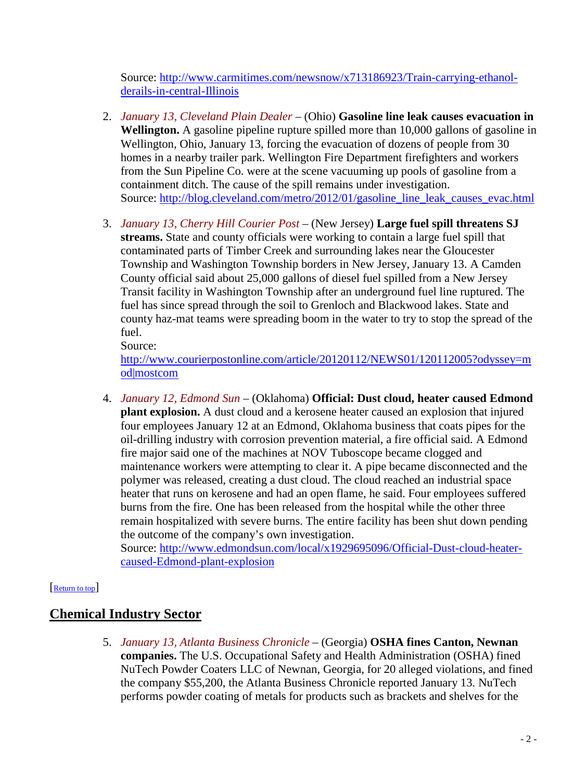Source: [http://www.carmitimes.com/newsnow/x713186923/Train-carrying-ethanol](http://www.carmitimes.com/newsnow/x713186923/Train-carrying-ethanol-derails-in-central-Illinois)[derails-in-central-Illinois](http://www.carmitimes.com/newsnow/x713186923/Train-carrying-ethanol-derails-in-central-Illinois)

- <span id="page-1-2"></span>2. *January 13, Cleveland Plain Dealer* – (Ohio) **Gasoline line leak causes evacuation in Wellington.** A gasoline pipeline rupture spilled more than 10,000 gallons of gasoline in Wellington, Ohio, January 13, forcing the evacuation of dozens of people from 30 homes in a nearby trailer park. Wellington Fire Department firefighters and workers from the Sun Pipeline Co. were at the scene vacuuming up pools of gasoline from a containment ditch. The cause of the spill remains under investigation. Source: [http://blog.cleveland.com/metro/2012/01/gasoline\\_line\\_leak\\_causes\\_evac.html](http://blog.cleveland.com/metro/2012/01/gasoline_line_leak_causes_evac.html)
- <span id="page-1-3"></span>3. *January 13, Cherry Hill Courier Post* – (New Jersey) **Large fuel spill threatens SJ streams.** State and county officials were working to contain a large fuel spill that contaminated parts of Timber Creek and surrounding lakes near the Gloucester Township and Washington Township borders in New Jersey, January 13. A Camden County official said about 25,000 gallons of diesel fuel spilled from a New Jersey Transit facility in Washington Township after an underground fuel line ruptured. The fuel has since spread through the soil to Grenloch and Blackwood lakes. State and county haz-mat teams were spreading boom in the water to try to stop the spread of the fuel.

Source:

[http://www.courierpostonline.com/article/20120112/NEWS01/120112005?odyssey=m](http://www.courierpostonline.com/article/20120112/NEWS01/120112005?odyssey=mod|mostcom) [od|mostcom](http://www.courierpostonline.com/article/20120112/NEWS01/120112005?odyssey=mod|mostcom)

<span id="page-1-1"></span>4. *January 12, Edmond Sun* – (Oklahoma) **Official: Dust cloud, heater caused Edmond plant explosion.** A dust cloud and a kerosene heater caused an explosion that injured four employees January 12 at an Edmond, Oklahoma business that coats pipes for the oil-drilling industry with corrosion prevention material, a fire official said. A Edmond fire major said one of the machines at NOV Tuboscope became clogged and maintenance workers were attempting to clear it. A pipe became disconnected and the polymer was released, creating a dust cloud. The cloud reached an industrial space heater that runs on kerosene and had an open flame, he said. Four employees suffered burns from the fire. One has been released from the hospital while the other three remain hospitalized with severe burns. The entire facility has been shut down pending the outcome of the company's own investigation.

<span id="page-1-0"></span>Source: [http://www.edmondsun.com/local/x1929695096/Official-Dust-cloud-heater](http://www.edmondsun.com/local/x1929695096/Official-Dust-cloud-heater-caused-Edmond-plant-explosion)[caused-Edmond-plant-explosion](http://www.edmondsun.com/local/x1929695096/Official-Dust-cloud-heater-caused-Edmond-plant-explosion)

## [\[Return to top\]](#page-0-1)

# **Chemical Industry Sector**

5. *January 13, Atlanta Business Chronicle* – (Georgia) **OSHA fines Canton, Newnan companies.** The U.S. Occupational Safety and Health Administration (OSHA) fined NuTech Powder Coaters LLC of Newnan, Georgia, for 20 alleged violations, and fined the company \$55,200, the Atlanta Business Chronicle reported January 13. NuTech performs powder coating of metals for products such as brackets and shelves for the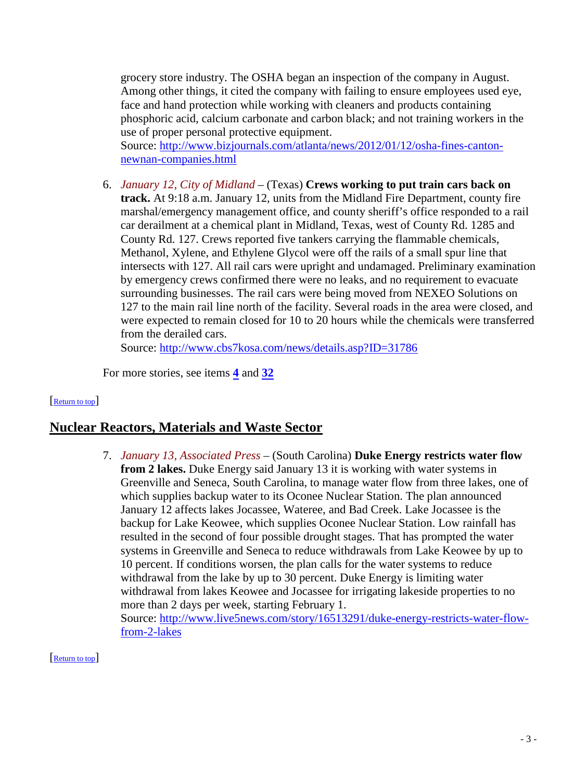grocery store industry. The OSHA began an inspection of the company in August. Among other things, it cited the company with failing to ensure employees used eye, face and hand protection while working with cleaners and products containing phosphoric acid, calcium carbonate and carbon black; and not training workers in the use of proper personal protective equipment.

Source: [http://www.bizjournals.com/atlanta/news/2012/01/12/osha-fines-canton](http://www.bizjournals.com/atlanta/news/2012/01/12/osha-fines-canton-newnan-companies.html)[newnan-companies.html](http://www.bizjournals.com/atlanta/news/2012/01/12/osha-fines-canton-newnan-companies.html)

<span id="page-2-2"></span>6. *January 12, City of Midland* – (Texas) **Crews working to put train cars back on track.** At 9:18 a.m. January 12, units from the Midland Fire Department, county fire marshal/emergency management office, and county sheriff's office responded to a rail car derailment at a chemical plant in Midland, Texas, west of County Rd. 1285 and County Rd. 127. Crews reported five tankers carrying the flammable chemicals, Methanol, Xylene, and Ethylene Glycol were off the rails of a small spur line that intersects with 127. All rail cars were upright and undamaged. Preliminary examination by emergency crews confirmed there were no leaks, and no requirement to evacuate surrounding businesses. The rail cars were being moved from NEXEO Solutions on 127 to the main rail line north of the facility. Several roads in the area were closed, and were expected to remain closed for 10 to 20 hours while the chemicals were transferred from the derailed cars.

Source:<http://www.cbs7kosa.com/news/details.asp?ID=31786>

<span id="page-2-0"></span>For more stories, see items **[4](#page-1-1)** and **[32](#page-11-0)**

## [\[Return to top\]](#page-0-1)

# <span id="page-2-3"></span>**Nuclear Reactors, Materials and Waste Sector**

7. *January 13, Associated Press* – (South Carolina) **Duke Energy restricts water flow from 2 lakes.** Duke Energy said January 13 it is working with water systems in Greenville and Seneca, South Carolina, to manage water flow from three lakes, one of which supplies backup water to its Oconee Nuclear Station. The plan announced January 12 affects lakes Jocassee, Wateree, and Bad Creek. Lake Jocassee is the backup for Lake Keowee, which supplies Oconee Nuclear Station. Low rainfall has resulted in the second of four possible drought stages. That has prompted the water systems in Greenville and Seneca to reduce withdrawals from Lake Keowee by up to 10 percent. If conditions worsen, the plan calls for the water systems to reduce withdrawal from the lake by up to 30 percent. Duke Energy is limiting water withdrawal from lakes Keowee and Jocassee for irrigating lakeside properties to no more than 2 days per week, starting February 1. Source: [http://www.live5news.com/story/16513291/duke-energy-restricts-water-flow](http://www.live5news.com/story/16513291/duke-energy-restricts-water-flow-from-2-lakes)[from-2-lakes](http://www.live5news.com/story/16513291/duke-energy-restricts-water-flow-from-2-lakes)

<span id="page-2-1"></span>[\[Return](#page-0-1) to top]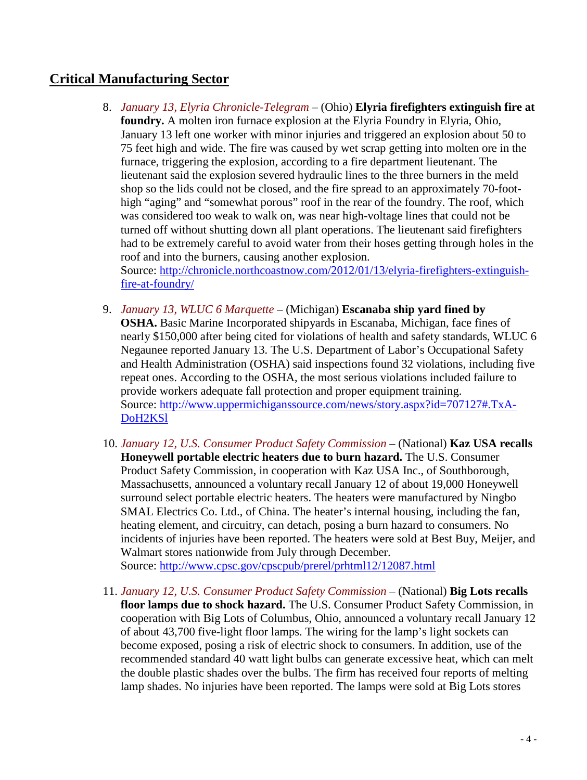# **Critical Manufacturing Sector**

- 8. *January 13, Elyria Chronicle-Telegram* (Ohio) **Elyria firefighters extinguish fire at foundry.** A molten iron furnace explosion at the Elyria Foundry in Elyria, Ohio, January 13 left one worker with minor injuries and triggered an explosion about 50 to 75 feet high and wide. The fire was caused by wet scrap getting into molten ore in the furnace, triggering the explosion, according to a fire department lieutenant. The lieutenant said the explosion severed hydraulic lines to the three burners in the meld shop so the lids could not be closed, and the fire spread to an approximately 70-foothigh "aging" and "somewhat porous" roof in the rear of the foundry. The roof, which was considered too weak to walk on, was near high-voltage lines that could not be turned off without shutting down all plant operations. The lieutenant said firefighters had to be extremely careful to avoid water from their hoses getting through holes in the roof and into the burners, causing another explosion. Source: [http://chronicle.northcoastnow.com/2012/01/13/elyria-firefighters-extinguish](http://chronicle.northcoastnow.com/2012/01/13/elyria-firefighters-extinguish-fire-at-foundry/)[fire-at-foundry/](http://chronicle.northcoastnow.com/2012/01/13/elyria-firefighters-extinguish-fire-at-foundry/)
- 9. *January 13, WLUC 6 Marquette* (Michigan) **Escanaba ship yard fined by OSHA.** Basic Marine Incorporated shipyards in Escanaba, Michigan, face fines of nearly \$150,000 after being cited for violations of health and safety standards, WLUC 6 Negaunee reported January 13. The U.S. Department of Labor's Occupational Safety and Health Administration (OSHA) said inspections found 32 violations, including five repeat ones. According to the OSHA, the most serious violations included failure to provide workers adequate fall protection and proper equipment training. Source: [http://www.uppermichiganssource.com/news/story.aspx?id=707127#.TxA-](http://www.uppermichiganssource.com/news/story.aspx?id=707127#.TxA-DoH2KSl)[DoH2KSl](http://www.uppermichiganssource.com/news/story.aspx?id=707127#.TxA-DoH2KSl)
- 10. *January 12, U.S. Consumer Product Safety Commission* (National) **Kaz USA recalls Honeywell portable electric heaters due to burn hazard.** The U.S. Consumer Product Safety Commission, in cooperation with Kaz USA Inc., of Southborough, Massachusetts, announced a voluntary recall January 12 of about 19,000 Honeywell surround select portable electric heaters. The heaters were manufactured by Ningbo SMAL Electrics Co. Ltd., of China. The heater's internal housing, including the fan, heating element, and circuitry, can detach, posing a burn hazard to consumers. No incidents of injuries have been reported. The heaters were sold at Best Buy, Meijer, and Walmart stores nationwide from July through December. Source:<http://www.cpsc.gov/cpscpub/prerel/prhtml12/12087.html>
- 11. *January 12, U.S. Consumer Product Safety Commission* (National) **Big Lots recalls floor lamps due to shock hazard.** The U.S. Consumer Product Safety Commission, in cooperation with Big Lots of Columbus, Ohio, announced a voluntary recall January 12 of about 43,700 five-light floor lamps. The wiring for the lamp's light sockets can become exposed, posing a risk of electric shock to consumers. In addition, use of the recommended standard 40 watt light bulbs can generate excessive heat, which can melt the double plastic shades over the bulbs. The firm has received four reports of melting lamp shades. No injuries have been reported. The lamps were sold at Big Lots stores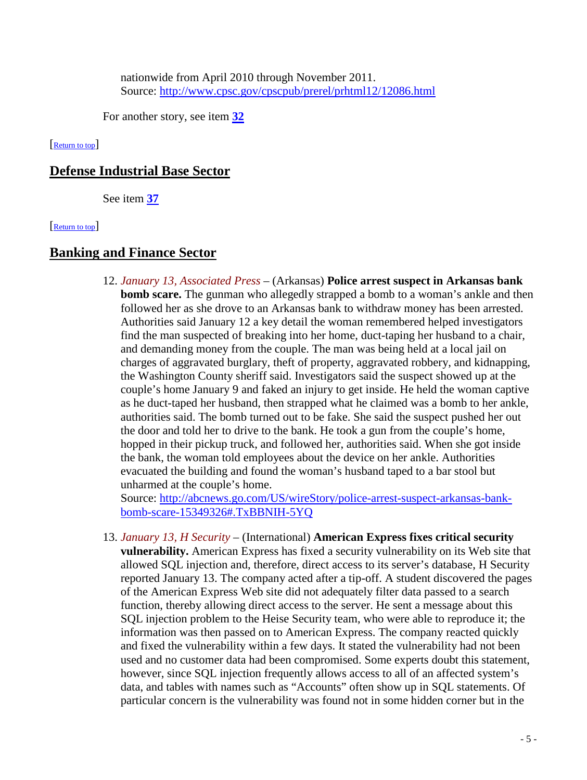nationwide from April 2010 through November 2011. Source:<http://www.cpsc.gov/cpscpub/prerel/prhtml12/12086.html>

<span id="page-4-1"></span>For another story, see item **[32](#page-11-0)**

[\[Return to top\]](#page-0-1) 

## **Defense Industrial Base Sector**

<span id="page-4-0"></span>See item **[37](#page-13-0)**

[\[Return to top\]](#page-0-1) 

## **Banking and Finance Sector**

12. *January 13, Associated Press* – (Arkansas) **Police arrest suspect in Arkansas bank bomb scare.** The gunman who allegedly strapped a bomb to a woman's ankle and then followed her as she drove to an Arkansas bank to withdraw money has been arrested. Authorities said January 12 a key detail the woman remembered helped investigators find the man suspected of breaking into her home, duct-taping her husband to a chair, and demanding money from the couple. The man was being held at a local jail on charges of aggravated burglary, theft of property, aggravated robbery, and kidnapping, the Washington County sheriff said. Investigators said the suspect showed up at the couple's home January 9 and faked an injury to get inside. He held the woman captive as he duct-taped her husband, then strapped what he claimed was a bomb to her ankle, authorities said. The bomb turned out to be fake. She said the suspect pushed her out the door and told her to drive to the bank. He took a gun from the couple's home, hopped in their pickup truck, and followed her, authorities said. When she got inside the bank, the woman told employees about the device on her ankle. Authorities evacuated the building and found the woman's husband taped to a bar stool but unharmed at the couple's home.

Source: [http://abcnews.go.com/US/wireStory/police-arrest-suspect-arkansas-bank](http://abcnews.go.com/US/wireStory/police-arrest-suspect-arkansas-bank-bomb-scare-15349326#.TxBBNIH-5YQ)[bomb-scare-15349326#.TxBBNIH-5YQ](http://abcnews.go.com/US/wireStory/police-arrest-suspect-arkansas-bank-bomb-scare-15349326#.TxBBNIH-5YQ)

<span id="page-4-2"></span>13. *January 13, H Security* – (International) **American Express fixes critical security vulnerability.** American Express has fixed a security vulnerability on its Web site that allowed SQL injection and, therefore, direct access to its server's database, H Security reported January 13. The company acted after a tip-off. A student discovered the pages of the American Express Web site did not adequately filter data passed to a search function, thereby allowing direct access to the server. He sent a message about this SQL injection problem to the Heise Security team, who were able to reproduce it; the information was then passed on to American Express. The company reacted quickly and fixed the vulnerability within a few days. It stated the vulnerability had not been used and no customer data had been compromised. Some experts doubt this statement, however, since SQL injection frequently allows access to all of an affected system's data, and tables with names such as "Accounts" often show up in SQL statements. Of particular concern is the vulnerability was found not in some hidden corner but in the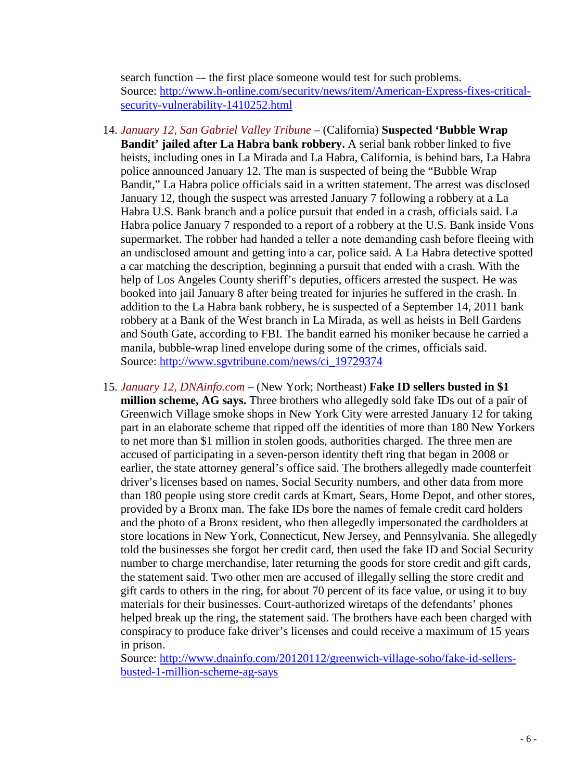search function –- the first place someone would test for such problems. Source: [http://www.h-online.com/security/news/item/American-Express-fixes-critical](http://www.h-online.com/security/news/item/American-Express-fixes-critical-security-vulnerability-1410252.html)[security-vulnerability-1410252.html](http://www.h-online.com/security/news/item/American-Express-fixes-critical-security-vulnerability-1410252.html)

- 14. *January 12, San Gabriel Valley Tribune* (California) **Suspected 'Bubble Wrap Bandit' jailed after La Habra bank robbery.** A serial bank robber linked to five heists, including ones in La Mirada and La Habra, California, is behind bars, La Habra police announced January 12. The man is suspected of being the "Bubble Wrap Bandit," La Habra police officials said in a written statement. The arrest was disclosed January 12, though the suspect was arrested January 7 following a robbery at a La Habra U.S. Bank branch and a police pursuit that ended in a crash, officials said. La Habra police January 7 responded to a report of a robbery at the U.S. Bank inside Vons supermarket. The robber had handed a teller a note demanding cash before fleeing with an undisclosed amount and getting into a car, police said. A La Habra detective spotted a car matching the description, beginning a pursuit that ended with a crash. With the help of Los Angeles County sheriff's deputies, officers arrested the suspect. He was booked into jail January 8 after being treated for injuries he suffered in the crash. In addition to the La Habra bank robbery, he is suspected of a September 14, 2011 bank robbery at a Bank of the West branch in La Mirada, as well as heists in Bell Gardens and South Gate, according to FBI. The bandit earned his moniker because he carried a manila, bubble-wrap lined envelope during some of the crimes, officials said. Source: [http://www.sgvtribune.com/news/ci\\_19729374](http://www.sgvtribune.com/news/ci_19729374)
- 15. *January 12, DNAinfo.com* (New York; Northeast) **Fake ID sellers busted in \$1 million scheme, AG says.** Three brothers who allegedly sold fake IDs out of a pair of Greenwich Village smoke shops in New York City were arrested January 12 for taking part in an elaborate scheme that ripped off the identities of more than 180 New Yorkers to net more than \$1 million in stolen goods, authorities charged. The three men are accused of participating in a seven-person identity theft ring that began in 2008 or earlier, the state attorney general's office said. The brothers allegedly made counterfeit driver's licenses based on names, Social Security numbers, and other data from more than 180 people using store credit cards at Kmart, Sears, Home Depot, and other stores, provided by a Bronx man. The fake IDs bore the names of female credit card holders and the photo of a Bronx resident, who then allegedly impersonated the cardholders at store locations in New York, Connecticut, New Jersey, and Pennsylvania. She allegedly told the businesses she forgot her credit card, then used the fake ID and Social Security number to charge merchandise, later returning the goods for store credit and gift cards, the statement said. Two other men are accused of illegally selling the store credit and gift cards to others in the ring, for about 70 percent of its face value, or using it to buy materials for their businesses. Court-authorized wiretaps of the defendants' phones helped break up the ring, the statement said. The brothers have each been charged with conspiracy to produce fake driver's licenses and could receive a maximum of 15 years in prison.

Source: [http://www.dnainfo.com/20120112/greenwich-village-soho/fake-id-sellers](http://www.dnainfo.com/20120112/greenwich-village-soho/fake-id-sellers-busted-1-million-scheme-ag-says)[busted-1-million-scheme-ag-says](http://www.dnainfo.com/20120112/greenwich-village-soho/fake-id-sellers-busted-1-million-scheme-ag-says)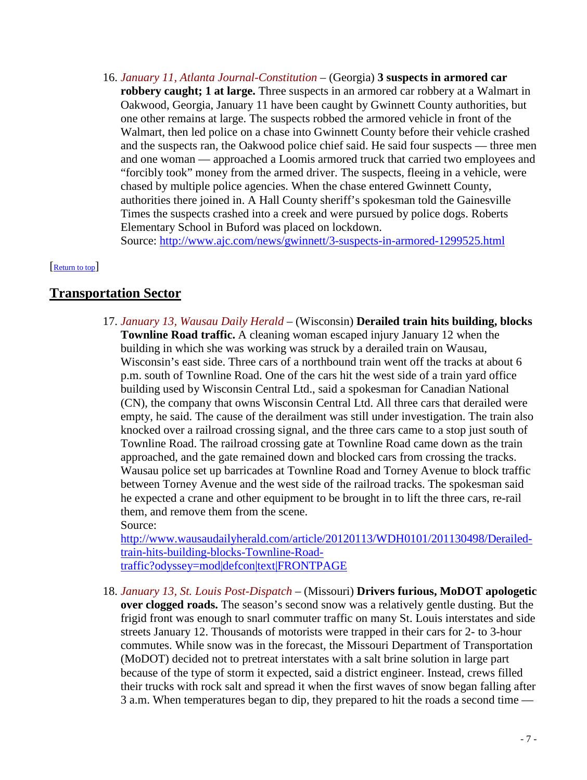16. *January 11, Atlanta Journal-Constitution* – (Georgia) **3 suspects in armored car robbery caught; 1 at large.** Three suspects in an armored car robbery at a Walmart in Oakwood, Georgia, January 11 have been caught by Gwinnett County authorities, but one other remains at large. The suspects robbed the armored vehicle in front of the Walmart, then led police on a chase into Gwinnett County before their vehicle crashed and the suspects ran, the Oakwood police chief said. He said four suspects — three men and one woman — approached a Loomis armored truck that carried two employees and "forcibly took" money from the armed driver. The suspects, fleeing in a vehicle, were chased by multiple police agencies. When the chase entered Gwinnett County, authorities there joined in. A Hall County sheriff's spokesman told the Gainesville Times the suspects crashed into a creek and were pursued by police dogs. Roberts Elementary School in Buford was placed on lockdown.

<span id="page-6-0"></span>Source:<http://www.ajc.com/news/gwinnett/3-suspects-in-armored-1299525.html>

#### Return to top

## **Transportation Sector**

17. *January 13, Wausau Daily Herald* – (Wisconsin) **Derailed train hits building, blocks Townline Road traffic.** A cleaning woman escaped injury January 12 when the building in which she was working was struck by a derailed train on Wausau, Wisconsin's east side. Three cars of a northbound train went off the tracks at about 6 p.m. south of Townline Road. One of the cars hit the west side of a train yard office building used by Wisconsin Central Ltd., said a spokesman for Canadian National (CN), the company that owns Wisconsin Central Ltd. All three cars that derailed were empty, he said. The cause of the derailment was still under investigation. The train also knocked over a railroad crossing signal, and the three cars came to a stop just south of Townline Road. The railroad crossing gate at Townline Road came down as the train approached, and the gate remained down and blocked cars from crossing the tracks. Wausau police set up barricades at Townline Road and Torney Avenue to block traffic between Torney Avenue and the west side of the railroad tracks. The spokesman said he expected a crane and other equipment to be brought in to lift the three cars, re-rail them, and remove them from the scene. Source:

[http://www.wausaudailyherald.com/article/20120113/WDH0101/201130498/Derailed](http://www.wausaudailyherald.com/article/20120113/WDH0101/201130498/Derailed-train-hits-building-blocks-Townline-Road-traffic?odyssey=mod|defcon|text|FRONTPAGE)[train-hits-building-blocks-Townline-Road](http://www.wausaudailyherald.com/article/20120113/WDH0101/201130498/Derailed-train-hits-building-blocks-Townline-Road-traffic?odyssey=mod|defcon|text|FRONTPAGE)[traffic?odyssey=mod|defcon|text|FRONTPAGE](http://www.wausaudailyherald.com/article/20120113/WDH0101/201130498/Derailed-train-hits-building-blocks-Townline-Road-traffic?odyssey=mod|defcon|text|FRONTPAGE)

18. *January 13, St. Louis Post-Dispatch* – (Missouri) **Drivers furious, MoDOT apologetic over clogged roads.** The season's second snow was a relatively gentle dusting. But the frigid front was enough to snarl commuter traffic on many St. Louis interstates and side streets January 12. Thousands of motorists were trapped in their cars for 2- to 3-hour commutes. While snow was in the forecast, the Missouri Department of Transportation (MoDOT) decided not to pretreat interstates with a salt brine solution in large part because of the type of storm it expected, said a district engineer. Instead, crews filled their trucks with rock salt and spread it when the first waves of snow began falling after 3 a.m. When temperatures began to dip, they prepared to hit the roads a second time —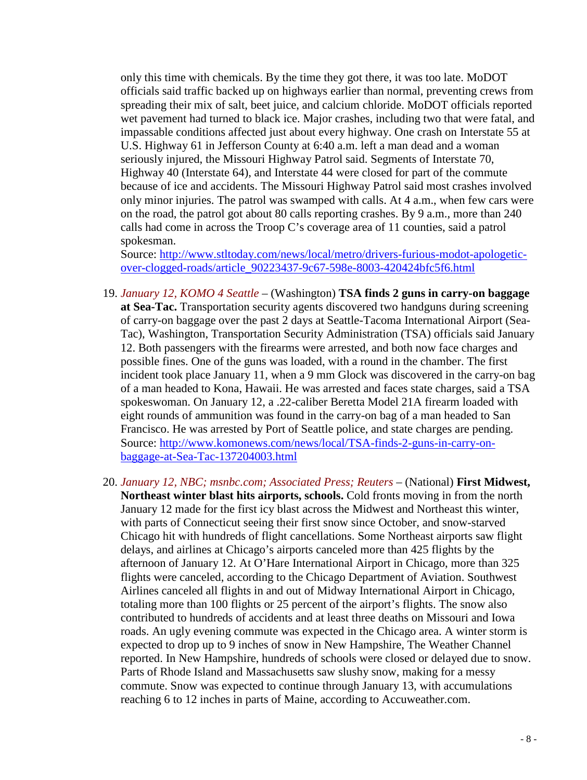only this time with chemicals. By the time they got there, it was too late. MoDOT officials said traffic backed up on highways earlier than normal, preventing crews from spreading their mix of salt, beet juice, and calcium chloride. MoDOT officials reported wet pavement had turned to black ice. Major crashes, including two that were fatal, and impassable conditions affected just about every highway. One crash on Interstate 55 at U.S. Highway 61 in Jefferson County at 6:40 a.m. left a man dead and a woman seriously injured, the Missouri Highway Patrol said. Segments of Interstate 70, Highway 40 (Interstate 64), and Interstate 44 were closed for part of the commute because of ice and accidents. The Missouri Highway Patrol said most crashes involved only minor injuries. The patrol was swamped with calls. At 4 a.m., when few cars were on the road, the patrol got about 80 calls reporting crashes. By 9 a.m., more than 240 calls had come in across the Troop C's coverage area of 11 counties, said a patrol spokesman.

Source: [http://www.stltoday.com/news/local/metro/drivers-furious-modot-apologetic](http://www.stltoday.com/news/local/metro/drivers-furious-modot-apologetic-over-clogged-roads/article_90223437-9c67-598e-8003-420424bfc5f6.html)[over-clogged-roads/article\\_90223437-9c67-598e-8003-420424bfc5f6.html](http://www.stltoday.com/news/local/metro/drivers-furious-modot-apologetic-over-clogged-roads/article_90223437-9c67-598e-8003-420424bfc5f6.html)

- 19. *January 12, KOMO 4 Seattle* (Washington) **TSA finds 2 guns in carry-on baggage at Sea-Tac.** Transportation security agents discovered two handguns during screening of carry-on baggage over the past 2 days at Seattle-Tacoma International Airport (Sea-Tac), Washington, Transportation Security Administration (TSA) officials said January 12. Both passengers with the firearms were arrested, and both now face charges and possible fines. One of the guns was loaded, with a round in the chamber. The first incident took place January 11, when a 9 mm Glock was discovered in the carry-on bag of a man headed to Kona, Hawaii. He was arrested and faces state charges, said a TSA spokeswoman. On January 12, a .22-caliber Beretta Model 21A firearm loaded with eight rounds of ammunition was found in the carry-on bag of a man headed to San Francisco. He was arrested by Port of Seattle police, and state charges are pending. Source: [http://www.komonews.com/news/local/TSA-finds-2-guns-in-carry-on](http://www.komonews.com/news/local/TSA-finds-2-guns-in-carry-on-baggage-at-Sea-Tac-137204003.html)[baggage-at-Sea-Tac-137204003.html](http://www.komonews.com/news/local/TSA-finds-2-guns-in-carry-on-baggage-at-Sea-Tac-137204003.html)
- <span id="page-7-0"></span>20. *January 12, NBC; msnbc.com; Associated Press; Reuters* – (National) **First Midwest, Northeast winter blast hits airports, schools.** Cold fronts moving in from the north January 12 made for the first icy blast across the Midwest and Northeast this winter, with parts of Connecticut seeing their first snow since October, and snow-starved Chicago hit with hundreds of flight cancellations. Some Northeast airports saw flight delays, and airlines at Chicago's airports canceled more than 425 flights by the afternoon of January 12. At O'Hare International Airport in Chicago, more than 325 flights were canceled, according to the Chicago Department of Aviation. Southwest Airlines canceled all flights in and out of Midway International Airport in Chicago, totaling more than 100 flights or 25 percent of the airport's flights. The snow also contributed to hundreds of accidents and at least three deaths on Missouri and Iowa roads. An ugly evening commute was expected in the Chicago area. A winter storm is expected to drop up to 9 inches of snow in New Hampshire, The Weather Channel reported. In New Hampshire, hundreds of schools were closed or delayed due to snow. Parts of Rhode Island and Massachusetts saw slushy snow, making for a messy commute. Snow was expected to continue through January 13, with accumulations reaching 6 to 12 inches in parts of Maine, according to Accuweather.com.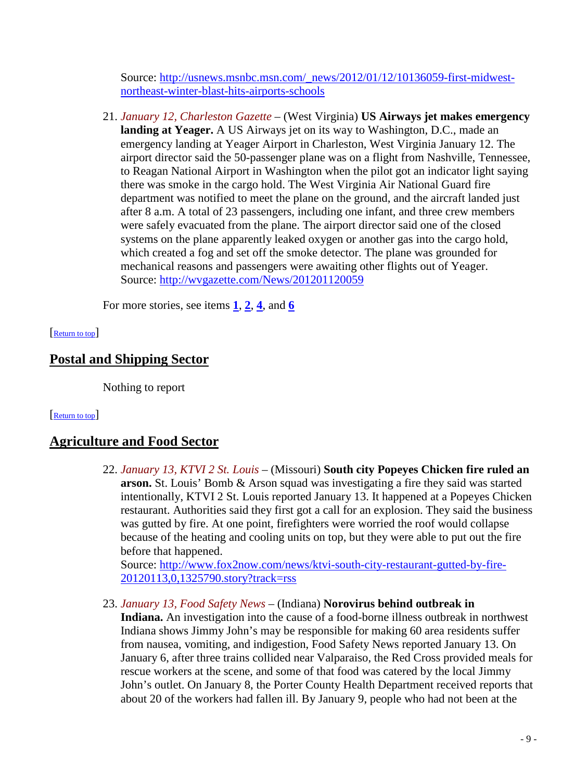Source: [http://usnews.msnbc.msn.com/\\_news/2012/01/12/10136059-first-midwest](http://usnews.msnbc.msn.com/_news/2012/01/12/10136059-first-midwest-northeast-winter-blast-hits-airports-schools)[northeast-winter-blast-hits-airports-schools](http://usnews.msnbc.msn.com/_news/2012/01/12/10136059-first-midwest-northeast-winter-blast-hits-airports-schools)

21. *January 12, Charleston Gazette* – (West Virginia) **US Airways jet makes emergency landing at Yeager.** A US Airways jet on its way to Washington, D.C., made an emergency landing at Yeager Airport in Charleston, West Virginia January 12. The airport director said the 50-passenger plane was on a flight from Nashville, Tennessee, to Reagan National Airport in Washington when the pilot got an indicator light saying there was smoke in the cargo hold. The West Virginia Air National Guard fire department was notified to meet the plane on the ground, and the aircraft landed just after 8 a.m. A total of 23 passengers, including one infant, and three crew members were safely evacuated from the plane. The airport director said one of the closed systems on the plane apparently leaked oxygen or another gas into the cargo hold, which created a fog and set off the smoke detector. The plane was grounded for mechanical reasons and passengers were awaiting other flights out of Yeager. Source:<http://wvgazette.com/News/201201120059>

<span id="page-8-0"></span>For more stories, see items  $\frac{1}{2}$  $\frac{1}{2}$  $\frac{1}{2}$  $\frac{1}{2}$  $\frac{1}{2}$ ,  $\frac{2}{3}$ , and  $\frac{6}{6}$  $\frac{6}{6}$  $\frac{6}{6}$ 

#### [\[Return to top\]](#page-0-1)

## **Postal and Shipping Sector**

<span id="page-8-1"></span>Nothing to report

#### [\[Return to top\]](#page-0-1)

## **Agriculture and Food Sector**

22. *January 13, KTVI 2 St. Louis* – (Missouri) **South city Popeyes Chicken fire ruled an arson.** St. Louis' Bomb & Arson squad was investigating a fire they said was started intentionally, KTVI 2 St. Louis reported January 13. It happened at a Popeyes Chicken restaurant. Authorities said they first got a call for an explosion. They said the business was gutted by fire. At one point, firefighters were worried the roof would collapse because of the heating and cooling units on top, but they were able to put out the fire before that happened.

Source: [http://www.fox2now.com/news/ktvi-south-city-restaurant-gutted-by-fire-](http://www.fox2now.com/news/ktvi-south-city-restaurant-gutted-by-fire-20120113,0,1325790.story?track=rss)[20120113,0,1325790.story?track=rss](http://www.fox2now.com/news/ktvi-south-city-restaurant-gutted-by-fire-20120113,0,1325790.story?track=rss)

23. *January 13, Food Safety News* – (Indiana) **Norovirus behind outbreak in** 

**Indiana.** An investigation into the cause of a food-borne illness outbreak in northwest Indiana shows Jimmy John's may be responsible for making 60 area residents suffer from nausea, vomiting, and indigestion, Food Safety News reported January 13. On January 6, after three trains collided near Valparaiso, the Red Cross provided meals for rescue workers at the scene, and some of that food was catered by the local Jimmy John's outlet. On January 8, the Porter County Health Department received reports that about 20 of the workers had fallen ill. By January 9, people who had not been at the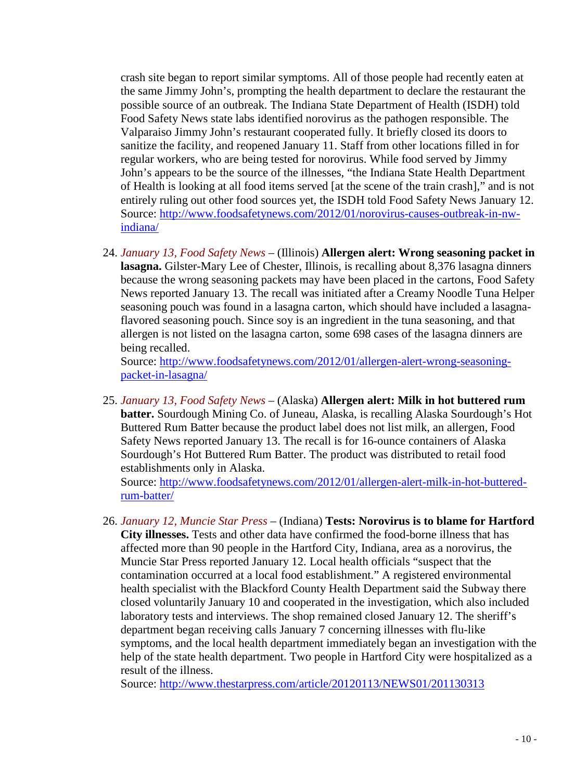crash site began to report similar symptoms. All of those people had recently eaten at the same Jimmy John's, prompting the health department to declare the restaurant the possible source of an outbreak. The Indiana State Department of Health (ISDH) told Food Safety News state labs identified norovirus as the pathogen responsible. The Valparaiso Jimmy John's restaurant cooperated fully. It briefly closed its doors to sanitize the facility, and reopened January 11. Staff from other locations filled in for regular workers, who are being tested for norovirus. While food served by Jimmy John's appears to be the source of the illnesses, "the Indiana State Health Department of Health is looking at all food items served [at the scene of the train crash]," and is not entirely ruling out other food sources yet, the ISDH told Food Safety News January 12. Source: [http://www.foodsafetynews.com/2012/01/norovirus-causes-outbreak-in-nw](http://www.foodsafetynews.com/2012/01/norovirus-causes-outbreak-in-nw-indiana/)[indiana/](http://www.foodsafetynews.com/2012/01/norovirus-causes-outbreak-in-nw-indiana/)

24. *January 13, Food Safety News* – (Illinois) **Allergen alert: Wrong seasoning packet in lasagna.** Gilster-Mary Lee of Chester, Illinois, is recalling about 8,376 lasagna dinners because the wrong seasoning packets may have been placed in the cartons, Food Safety News reported January 13. The recall was initiated after a Creamy Noodle Tuna Helper seasoning pouch was found in a lasagna carton, which should have included a lasagnaflavored seasoning pouch. Since soy is an ingredient in the tuna seasoning, and that allergen is not listed on the lasagna carton, some 698 cases of the lasagna dinners are being recalled.

Source: [http://www.foodsafetynews.com/2012/01/allergen-alert-wrong-seasoning](http://www.foodsafetynews.com/2012/01/allergen-alert-wrong-seasoning-packet-in-lasagna/)[packet-in-lasagna/](http://www.foodsafetynews.com/2012/01/allergen-alert-wrong-seasoning-packet-in-lasagna/)

25. *January 13, Food Safety News* – (Alaska) **Allergen alert: Milk in hot buttered rum batter.** Sourdough Mining Co. of Juneau, Alaska, is recalling Alaska Sourdough's Hot Buttered Rum Batter because the product label does not list milk, an allergen, Food Safety News reported January 13. The recall is for 16-ounce containers of Alaska Sourdough's Hot Buttered Rum Batter. The product was distributed to retail food establishments only in Alaska.

Source: [http://www.foodsafetynews.com/2012/01/allergen-alert-milk-in-hot-buttered](http://www.foodsafetynews.com/2012/01/allergen-alert-milk-in-hot-buttered-rum-batter/)[rum-batter/](http://www.foodsafetynews.com/2012/01/allergen-alert-milk-in-hot-buttered-rum-batter/)

26. *January 12, Muncie Star Press* – (Indiana) **Tests: Norovirus is to blame for Hartford City illnesses.** Tests and other data have confirmed the food-borne illness that has affected more than 90 people in the Hartford City, Indiana, area as a norovirus, the Muncie Star Press reported January 12. Local health officials "suspect that the contamination occurred at a local food establishment." A registered environmental health specialist with the Blackford County Health Department said the Subway there closed voluntarily January 10 and cooperated in the investigation, which also included laboratory tests and interviews. The shop remained closed January 12. The sheriff's department began receiving calls January 7 concerning illnesses with flu-like symptoms, and the local health department immediately began an investigation with the help of the state health department. Two people in Hartford City were hospitalized as a result of the illness.

Source:<http://www.thestarpress.com/article/20120113/NEWS01/201130313>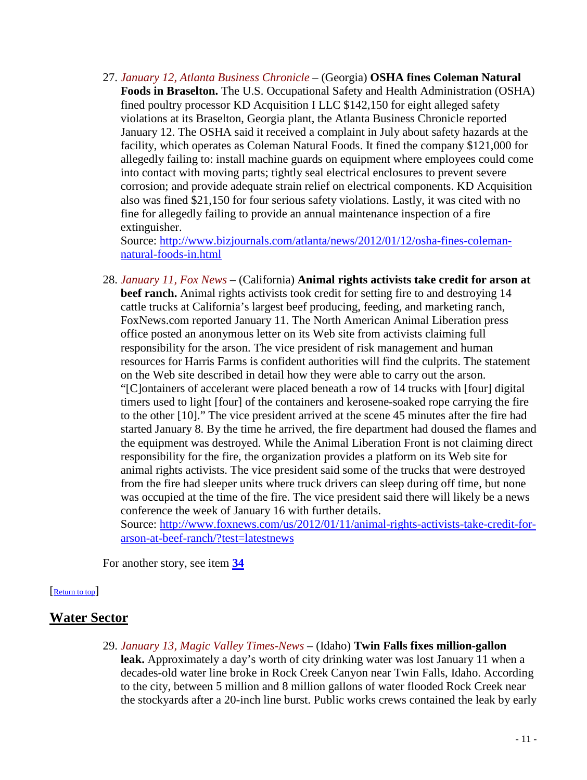27. *January 12, Atlanta Business Chronicle* – (Georgia) **OSHA fines Coleman Natural Foods in Braselton.** The U.S. Occupational Safety and Health Administration (OSHA) fined poultry processor KD Acquisition I LLC \$142,150 for eight alleged safety violations at its Braselton, Georgia plant, the Atlanta Business Chronicle reported January 12. The OSHA said it received a complaint in July about safety hazards at the facility, which operates as Coleman Natural Foods. It fined the company \$121,000 for allegedly failing to: install machine guards on equipment where employees could come into contact with moving parts; tightly seal electrical enclosures to prevent severe corrosion; and provide adequate strain relief on electrical components. KD Acquisition also was fined \$21,150 for four serious safety violations. Lastly, it was cited with no fine for allegedly failing to provide an annual maintenance inspection of a fire extinguisher.

Source: [http://www.bizjournals.com/atlanta/news/2012/01/12/osha-fines-coleman](http://www.bizjournals.com/atlanta/news/2012/01/12/osha-fines-coleman-natural-foods-in.html)[natural-foods-in.html](http://www.bizjournals.com/atlanta/news/2012/01/12/osha-fines-coleman-natural-foods-in.html)

<span id="page-10-0"></span>28. *January 11, Fox News* – (California) **Animal rights activists take credit for arson at beef ranch.** Animal rights activists took credit for setting fire to and destroying 14 cattle trucks at California's largest beef producing, feeding, and marketing ranch, FoxNews.com reported January 11. The North American Animal Liberation press office posted an anonymous letter on its Web site from activists claiming full responsibility for the arson. The vice president of risk management and human resources for Harris Farms is confident authorities will find the culprits. The statement on the Web site described in detail how they were able to carry out the arson. "[C]ontainers of accelerant were placed beneath a row of 14 trucks with [four] digital timers used to light [four] of the containers and kerosene-soaked rope carrying the fire to the other [10]." The vice president arrived at the scene 45 minutes after the fire had started January 8. By the time he arrived, the fire department had doused the flames and the equipment was destroyed. While the Animal Liberation Front is not claiming direct responsibility for the fire, the organization provides a platform on its Web site for animal rights activists. The vice president said some of the trucks that were destroyed from the fire had sleeper units where truck drivers can sleep during off time, but none was occupied at the time of the fire. The vice president said there will likely be a news conference the week of January 16 with further details. Source: [http://www.foxnews.com/us/2012/01/11/animal-rights-activists-take-credit-for-](http://www.foxnews.com/us/2012/01/11/animal-rights-activists-take-credit-for-arson-at-beef-ranch/?test=latestnews)

[arson-at-beef-ranch/?test=latestnews](http://www.foxnews.com/us/2012/01/11/animal-rights-activists-take-credit-for-arson-at-beef-ranch/?test=latestnews)

<span id="page-10-1"></span>For another story, see item **[34](#page-12-2)**

## [\[Return to top\]](#page-0-1)

# **Water Sector**

29. *January 13, Magic Valley Times-News* – (Idaho) **Twin Falls fixes million-gallon leak.** Approximately a day's worth of city drinking water was lost January 11 when a decades-old water line broke in Rock Creek Canyon near Twin Falls, Idaho. According to the city, between 5 million and 8 million gallons of water flooded Rock Creek near the stockyards after a 20-inch line burst. Public works crews contained the leak by early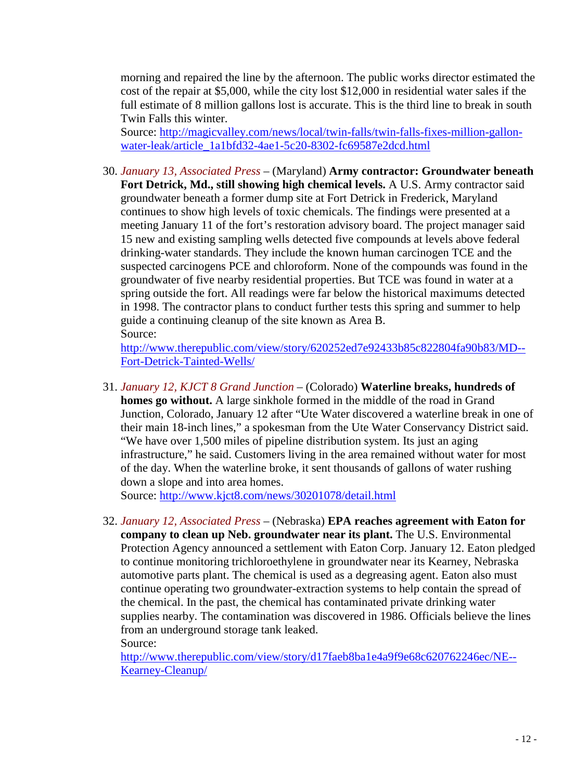morning and repaired the line by the afternoon. The public works director estimated the cost of the repair at \$5,000, while the city lost \$12,000 in residential water sales if the full estimate of 8 million gallons lost is accurate. This is the third line to break in south Twin Falls this winter.

Source: [http://magicvalley.com/news/local/twin-falls/twin-falls-fixes-million-gallon](http://magicvalley.com/news/local/twin-falls/twin-falls-fixes-million-gallon-water-leak/article_1a1bfd32-4ae1-5c20-8302-fc69587e2dcd.html)[water-leak/article\\_1a1bfd32-4ae1-5c20-8302-fc69587e2dcd.html](http://magicvalley.com/news/local/twin-falls/twin-falls-fixes-million-gallon-water-leak/article_1a1bfd32-4ae1-5c20-8302-fc69587e2dcd.html)

30. *January 13, Associated Press* – (Maryland) **Army contractor: Groundwater beneath Fort Detrick, Md., still showing high chemical levels.** A U.S. Army contractor said groundwater beneath a former dump site at Fort Detrick in Frederick, Maryland continues to show high levels of toxic chemicals. The findings were presented at a meeting January 11 of the fort's restoration advisory board. The project manager said 15 new and existing sampling wells detected five compounds at levels above federal drinking-water standards. They include the known human carcinogen TCE and the suspected carcinogens PCE and chloroform. None of the compounds was found in the groundwater of five nearby residential properties. But TCE was found in water at a spring outside the fort. All readings were far below the historical maximums detected in 1998. The contractor plans to conduct further tests this spring and summer to help guide a continuing cleanup of the site known as Area B. Source:

[http://www.therepublic.com/view/story/620252ed7e92433b85c822804fa90b83/MD--](http://www.therepublic.com/view/story/620252ed7e92433b85c822804fa90b83/MD--Fort-Detrick-Tainted-Wells/) [Fort-Detrick-Tainted-Wells/](http://www.therepublic.com/view/story/620252ed7e92433b85c822804fa90b83/MD--Fort-Detrick-Tainted-Wells/)

31. *January 12, KJCT 8 Grand Junction* – (Colorado) **Waterline breaks, hundreds of homes go without.** A large sinkhole formed in the middle of the road in Grand Junction, Colorado, January 12 after "Ute Water discovered a waterline break in one of their main 18-inch lines," a spokesman from the Ute Water Conservancy District said. "We have over 1,500 miles of pipeline distribution system. Its just an aging infrastructure," he said. Customers living in the area remained without water for most of the day. When the waterline broke, it sent thousands of gallons of water rushing down a slope and into area homes.

Source:<http://www.kjct8.com/news/30201078/detail.html>

<span id="page-11-0"></span>32. *January 12, Associated Press* – (Nebraska) **EPA reaches agreement with Eaton for company to clean up Neb. groundwater near its plant.** The U.S. Environmental Protection Agency announced a settlement with Eaton Corp. January 12. Eaton pledged to continue monitoring trichloroethylene in groundwater near its Kearney, Nebraska automotive parts plant. The chemical is used as a degreasing agent. Eaton also must continue operating two groundwater-extraction systems to help contain the spread of the chemical. In the past, the chemical has contaminated private drinking water supplies nearby. The contamination was discovered in 1986. Officials believe the lines from an underground storage tank leaked. Source:

[http://www.therepublic.com/view/story/d17faeb8ba1e4a9f9e68c620762246ec/NE--](http://www.therepublic.com/view/story/d17faeb8ba1e4a9f9e68c620762246ec/NE--Kearney-Cleanup/) [Kearney-Cleanup/](http://www.therepublic.com/view/story/d17faeb8ba1e4a9f9e68c620762246ec/NE--Kearney-Cleanup/)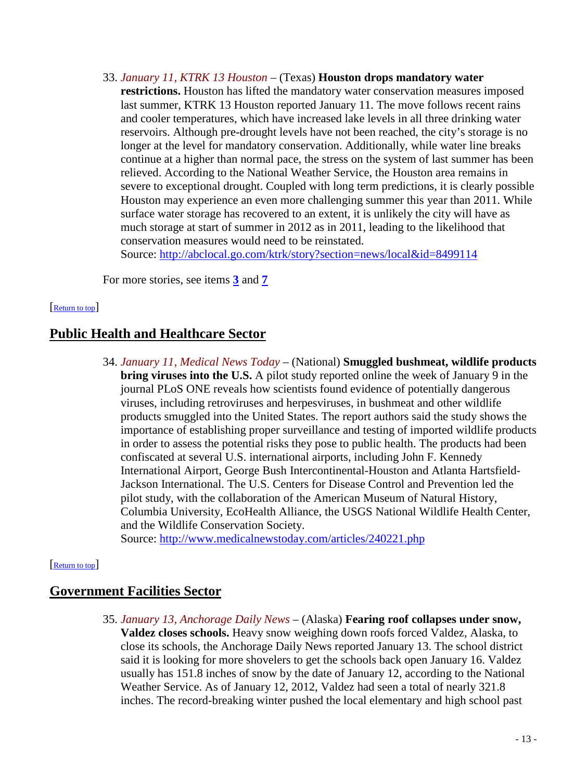- 33. *January 11, KTRK 13 Houston* (Texas) **Houston drops mandatory water** 
	- **restrictions.** Houston has lifted the mandatory water conservation measures imposed last summer, KTRK 13 Houston reported January 11. The move follows recent rains and cooler temperatures, which have increased lake levels in all three drinking water reservoirs. Although pre-drought levels have not been reached, the city's storage is no longer at the level for mandatory conservation. Additionally, while water line breaks continue at a higher than normal pace, the stress on the system of last summer has been relieved. According to the National Weather Service, the Houston area remains in severe to exceptional drought. Coupled with long term predictions, it is clearly possible Houston may experience an even more challenging summer this year than 2011. While surface water storage has recovered to an extent, it is unlikely the city will have as much storage at start of summer in 2012 as in 2011, leading to the likelihood that conservation measures would need to be reinstated.

Source:<http://abclocal.go.com/ktrk/story?section=news/local&id=8499114>

<span id="page-12-1"></span>For more stories, see items **[3](#page-1-3)** and **[7](#page-2-3)**

#### [\[Return to top\]](#page-0-1)

## <span id="page-12-2"></span>**Public Health and Healthcare Sector**

34. *January 11, Medical News Today* – (National) **Smuggled bushmeat, wildlife products bring viruses into the U.S.** A pilot study reported online the week of January 9 in the journal PLoS ONE reveals how scientists found evidence of potentially dangerous viruses, including retroviruses and herpesviruses, in bushmeat and other wildlife products smuggled into the United States. The report authors said the study shows the importance of establishing proper surveillance and testing of imported wildlife products in order to assess the potential risks they pose to public health. The products had been confiscated at several U.S. international airports, including John F. Kennedy International Airport, George Bush Intercontinental-Houston and Atlanta Hartsfield-Jackson International. The U.S. Centers for Disease Control and Prevention led the pilot study, with the collaboration of the American Museum of Natural History, Columbia University, EcoHealth Alliance, the USGS National Wildlife Health Center, and the Wildlife Conservation Society.

<span id="page-12-0"></span>Source:<http://www.medicalnewstoday.com/articles/240221.php>

#### [\[Return to top\]](#page-0-1)

## **Government Facilities Sector**

35. *January 13, Anchorage Daily News* – (Alaska) **Fearing roof collapses under snow, Valdez closes schools.** Heavy snow weighing down roofs forced Valdez, Alaska, to close its schools, the Anchorage Daily News reported January 13. The school district said it is looking for more shovelers to get the schools back open January 16. Valdez usually has 151.8 inches of snow by the date of January 12, according to the National Weather Service. As of January 12, 2012, Valdez had seen a total of nearly 321.8 inches. The record-breaking winter pushed the local elementary and high school past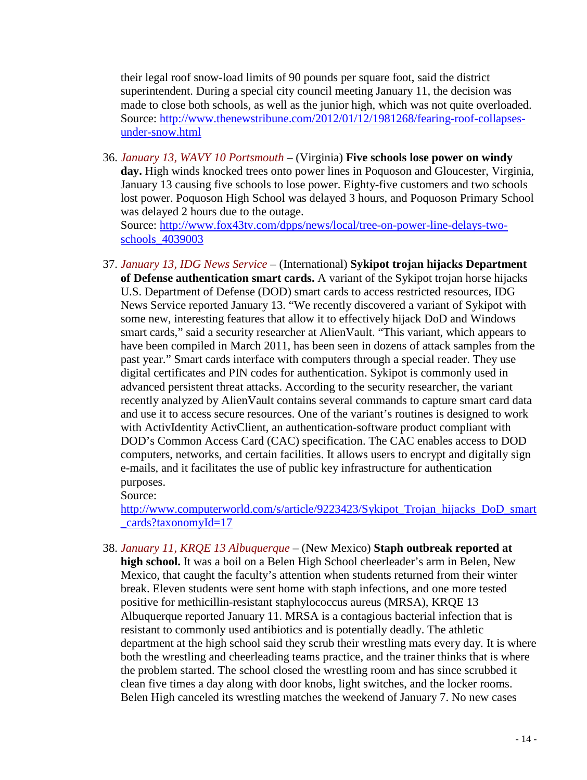their legal roof snow-load limits of 90 pounds per square foot, said the district superintendent. During a special city council meeting January 11, the decision was made to close both schools, as well as the junior high, which was not quite overloaded. Source: [http://www.thenewstribune.com/2012/01/12/1981268/fearing-roof-collapses](http://www.thenewstribune.com/2012/01/12/1981268/fearing-roof-collapses-under-snow.html)[under-snow.html](http://www.thenewstribune.com/2012/01/12/1981268/fearing-roof-collapses-under-snow.html)

36. *January 13, WAVY 10 Portsmouth* – (Virginia) **Five schools lose power on windy day.** High winds knocked trees onto power lines in Poquoson and Gloucester, Virginia, January 13 causing five schools to lose power. Eighty-five customers and two schools lost power. Poquoson High School was delayed 3 hours, and Poquoson Primary School was delayed 2 hours due to the outage. Source: [http://www.fox43tv.com/dpps/news/local/tree-on-power-line-delays-two](http://www.fox43tv.com/dpps/news/local/tree-on-power-line-delays-two-schools_4039003)[schools\\_4039003](http://www.fox43tv.com/dpps/news/local/tree-on-power-line-delays-two-schools_4039003)

<span id="page-13-0"></span>37. *January 13, IDG News Service* – (International) **Sykipot trojan hijacks Department of Defense authentication smart cards.** A variant of the Sykipot trojan horse hijacks U.S. Department of Defense (DOD) smart cards to access restricted resources, IDG News Service reported January 13. "We recently discovered a variant of Sykipot with some new, interesting features that allow it to effectively hijack DoD and Windows smart cards," said a security researcher at AlienVault. "This variant, which appears to have been compiled in March 2011, has been seen in dozens of attack samples from the past year." Smart cards interface with computers through a special reader. They use digital certificates and PIN codes for authentication. Sykipot is commonly used in advanced persistent threat attacks. According to the security researcher, the variant recently analyzed by AlienVault contains several commands to capture smart card data and use it to access secure resources. One of the variant's routines is designed to work with ActivIdentity ActivClient, an authentication-software product compliant with DOD's Common Access Card (CAC) specification. The CAC enables access to DOD computers, networks, and certain facilities. It allows users to encrypt and digitally sign e-mails, and it facilitates the use of public key infrastructure for authentication purposes.

Source:

[http://www.computerworld.com/s/article/9223423/Sykipot\\_Trojan\\_hijacks\\_DoD\\_smart](http://www.computerworld.com/s/article/9223423/Sykipot_Trojan_hijacks_DoD_smart_cards?taxonomyId=17) [\\_cards?taxonomyId=17](http://www.computerworld.com/s/article/9223423/Sykipot_Trojan_hijacks_DoD_smart_cards?taxonomyId=17)

38. *January 11, KRQE 13 Albuquerque* – (New Mexico) **Staph outbreak reported at high school.** It was a boil on a Belen High School cheerleader's arm in Belen, New Mexico, that caught the faculty's attention when students returned from their winter break. Eleven students were sent home with staph infections, and one more tested positive for methicillin-resistant staphylococcus aureus (MRSA), KRQE 13 Albuquerque reported January 11. MRSA is a contagious bacterial infection that is resistant to commonly used antibiotics and is potentially deadly. The athletic department at the high school said they scrub their wrestling mats every day. It is where both the wrestling and cheerleading teams practice, and the trainer thinks that is where the problem started. The school closed the wrestling room and has since scrubbed it clean five times a day along with door knobs, light switches, and the locker rooms. Belen High canceled its wrestling matches the weekend of January 7. No new cases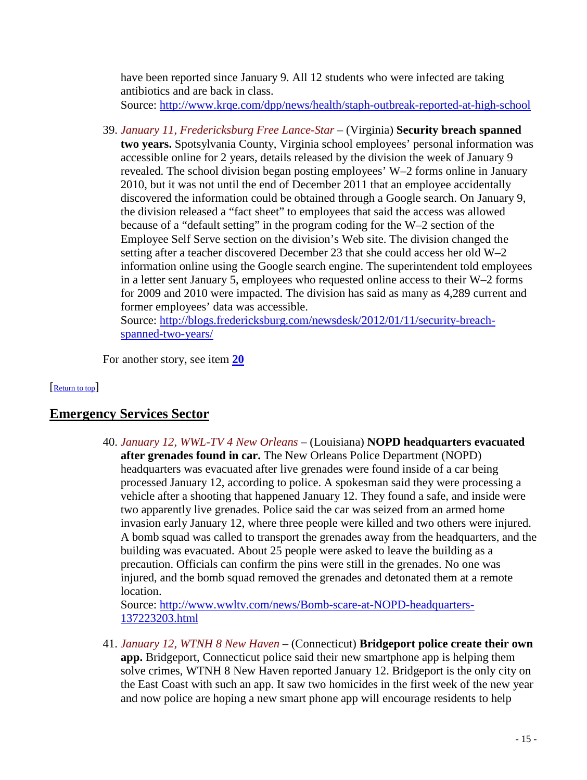have been reported since January 9. All 12 students who were infected are taking antibiotics and are back in class. Source:<http://www.krqe.com/dpp/news/health/staph-outbreak-reported-at-high-school>

<span id="page-14-1"></span>39. *January 11, Fredericksburg Free Lance-Star* – (Virginia) **Security breach spanned two years.** Spotsylvania County, Virginia school employees' personal information was accessible online for 2 years, details released by the division the week of January 9 revealed. The school division began posting employees' W–2 forms online in January 2010, but it was not until the end of December 2011 that an employee accidentally discovered the information could be obtained through a Google search. On January 9, the division released a "fact sheet" to employees that said the access was allowed because of a "default setting" in the program coding for the W–2 section of the Employee Self Serve section on the division's Web site. The division changed the setting after a teacher discovered December 23 that she could access her old W–2 information online using the Google search engine. The superintendent told employees in a letter sent January 5, employees who requested online access to their W–2 forms for 2009 and 2010 were impacted. The division has said as many as 4,289 current and former employees' data was accessible. Source: [http://blogs.fredericksburg.com/newsdesk/2012/01/11/security-breach-](http://blogs.fredericksburg.com/newsdesk/2012/01/11/security-breach-spanned-two-years/)

[spanned-two-years/](http://blogs.fredericksburg.com/newsdesk/2012/01/11/security-breach-spanned-two-years/)

<span id="page-14-0"></span>For another story, see item **[20](#page-7-0)**

#### [\[Return to top\]](#page-0-1)

# **Emergency Services Sector**

40. *January 12, WWL-TV 4 New Orleans* – (Louisiana) **NOPD headquarters evacuated after grenades found in car.** The New Orleans Police Department (NOPD) headquarters was evacuated after live grenades were found inside of a car being processed January 12, according to police. A spokesman said they were processing a vehicle after a shooting that happened January 12. They found a safe, and inside were two apparently live grenades. Police said the car was seized from an armed home invasion early January 12, where three people were killed and two others were injured. A bomb squad was called to transport the grenades away from the headquarters, and the building was evacuated. About 25 people were asked to leave the building as a precaution. Officials can confirm the pins were still in the grenades. No one was injured, and the bomb squad removed the grenades and detonated them at a remote location.

Source: [http://www.wwltv.com/news/Bomb-scare-at-NOPD-headquarters-](http://www.wwltv.com/news/Bomb-scare-at-NOPD-headquarters-137223203.html)[137223203.html](http://www.wwltv.com/news/Bomb-scare-at-NOPD-headquarters-137223203.html)

41. *January 12, WTNH 8 New Haven* – (Connecticut) **Bridgeport police create their own app.** Bridgeport, Connecticut police said their new smartphone app is helping them solve crimes, WTNH 8 New Haven reported January 12. Bridgeport is the only city on the East Coast with such an app. It saw two homicides in the first week of the new year and now police are hoping a new smart phone app will encourage residents to help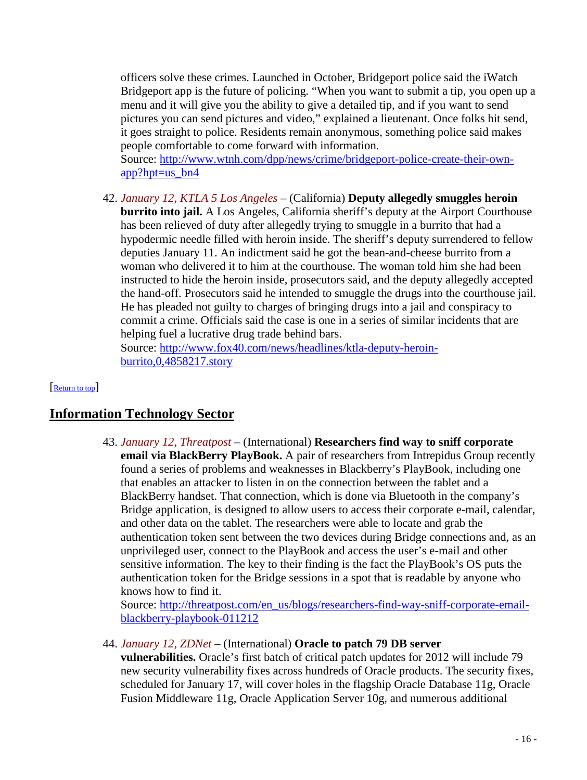officers solve these crimes. Launched in October, Bridgeport police said the iWatch Bridgeport app is the future of policing. "When you want to submit a tip, you open up a menu and it will give you the ability to give a detailed tip, and if you want to send pictures you can send pictures and video," explained a lieutenant. Once folks hit send, it goes straight to police. Residents remain anonymous, something police said makes people comfortable to come forward with information.

Source: [http://www.wtnh.com/dpp/news/crime/bridgeport-police-create-their-own](http://www.wtnh.com/dpp/news/crime/bridgeport-police-create-their-own-app?hpt=us_bn4)[app?hpt=us\\_bn4](http://www.wtnh.com/dpp/news/crime/bridgeport-police-create-their-own-app?hpt=us_bn4)

42. *January 12, KTLA 5 Los Angeles* – (California) **Deputy allegedly smuggles heroin burrito into jail.** A Los Angeles, California sheriff's deputy at the Airport Courthouse has been relieved of duty after allegedly trying to smuggle in a burrito that had a hypodermic needle filled with heroin inside. The sheriff's deputy surrendered to fellow deputies January 11. An indictment said he got the bean-and-cheese burrito from a woman who delivered it to him at the courthouse. The woman told him she had been instructed to hide the heroin inside, prosecutors said, and the deputy allegedly accepted the hand-off. Prosecutors said he intended to smuggle the drugs into the courthouse jail. He has pleaded not guilty to charges of bringing drugs into a jail and conspiracy to commit a crime. Officials said the case is one in a series of similar incidents that are helping fuel a lucrative drug trade behind bars.

<span id="page-15-0"></span>Source: [http://www.fox40.com/news/headlines/ktla-deputy-heroin](http://www.fox40.com/news/headlines/ktla-deputy-heroin-burrito,0,4858217.story)[burrito,0,4858217.story](http://www.fox40.com/news/headlines/ktla-deputy-heroin-burrito,0,4858217.story)

#### [\[Return to top\]](#page-0-1)

## <span id="page-15-1"></span>**Information Technology Sector**

43. *January 12, Threatpost* – (International) **Researchers find way to sniff corporate email via BlackBerry PlayBook.** A pair of researchers from Intrepidus Group recently found a series of problems and weaknesses in Blackberry's PlayBook, including one that enables an attacker to listen in on the connection between the tablet and a BlackBerry handset. That connection, which is done via Bluetooth in the company's Bridge application, is designed to allow users to access their corporate e-mail, calendar, and other data on the tablet. The researchers were able to locate and grab the authentication token sent between the two devices during Bridge connections and, as an unprivileged user, connect to the PlayBook and access the user's e-mail and other sensitive information. The key to their finding is the fact the PlayBook's OS puts the authentication token for the Bridge sessions in a spot that is readable by anyone who knows how to find it.

Source: [http://threatpost.com/en\\_us/blogs/researchers-find-way-sniff-corporate-email](http://threatpost.com/en_us/blogs/researchers-find-way-sniff-corporate-email-blackberry-playbook-011212)[blackberry-playbook-011212](http://threatpost.com/en_us/blogs/researchers-find-way-sniff-corporate-email-blackberry-playbook-011212)

44. *January 12, ZDNet* – (International) **Oracle to patch 79 DB server** 

**vulnerabilities.** Oracle's first batch of critical patch updates for 2012 will include 79 new security vulnerability fixes across hundreds of Oracle products. The security fixes, scheduled for January 17, will cover holes in the flagship Oracle Database 11g, Oracle Fusion Middleware 11g, Oracle Application Server 10g, and numerous additional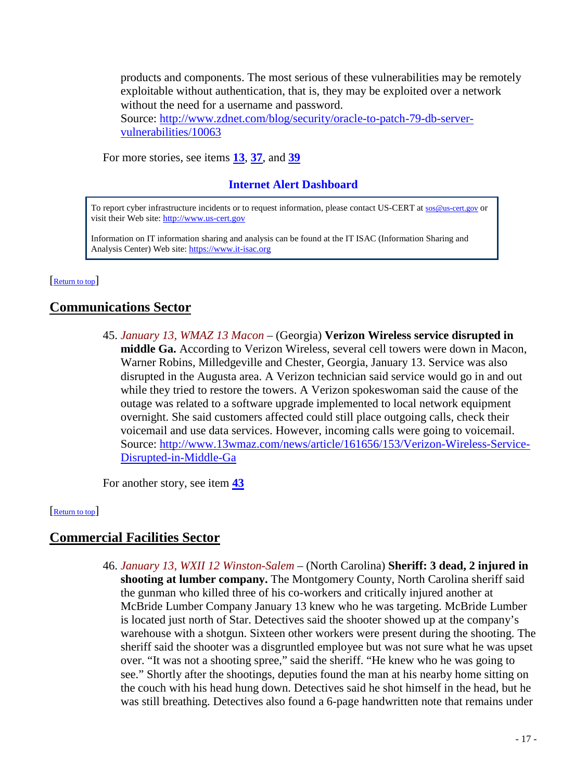products and components. The most serious of these vulnerabilities may be remotely exploitable without authentication, that is, they may be exploited over a network without the need for a username and password.

Source: [http://www.zdnet.com/blog/security/oracle-to-patch-79-db-server](http://www.zdnet.com/blog/security/oracle-to-patch-79-db-server-vulnerabilities/10063)[vulnerabilities/10063](http://www.zdnet.com/blog/security/oracle-to-patch-79-db-server-vulnerabilities/10063)

For more stories, see items **[13](#page-4-2)**, **[37](#page-13-0)**, and **[39](#page-14-1)**

## **Internet Alert Dashboard**

To report cyber infrastructure incidents or to request information, please contact US-CERT at [sos@us-cert.gov](mailto:sos@us-cert.gov) or visit their Web site[: http://www.us-cert.gov](http://www.us-cert.gov/)

<span id="page-16-0"></span>Information on IT information sharing and analysis can be found at the IT ISAC (Information Sharing and Analysis Center) Web site: [https://www.it-isac.org](https://www.it-isac.org/) 

[\[Return to top\]](#page-0-1) 

# **Communications Sector**

45. *January 13, WMAZ 13 Macon* – (Georgia) **Verizon Wireless service disrupted in middle Ga.** According to Verizon Wireless, several cell towers were down in Macon, Warner Robins, Milledgeville and Chester, Georgia, January 13. Service was also disrupted in the Augusta area. A Verizon technician said service would go in and out while they tried to restore the towers. A Verizon spokeswoman said the cause of the outage was related to a software upgrade implemented to local network equipment overnight. She said customers affected could still place outgoing calls, check their voicemail and use data services. However, incoming calls were going to voicemail. Source: [http://www.13wmaz.com/news/article/161656/153/Verizon-Wireless-Service-](http://www.13wmaz.com/news/article/161656/153/Verizon-Wireless-Service-Disrupted-in-Middle-Ga)[Disrupted-in-Middle-Ga](http://www.13wmaz.com/news/article/161656/153/Verizon-Wireless-Service-Disrupted-in-Middle-Ga)

<span id="page-16-1"></span>For another story, see item **[43](#page-15-1)**

[\[Return to top\]](#page-0-1) 

## **Commercial Facilities Sector**

46. *January 13, WXII 12 Winston-Salem* – (North Carolina) **Sheriff: 3 dead, 2 injured in shooting at lumber company.** The Montgomery County, North Carolina sheriff said the gunman who killed three of his co-workers and critically injured another at McBride Lumber Company January 13 knew who he was targeting. McBride Lumber is located just north of Star. Detectives said the shooter showed up at the company's warehouse with a shotgun. Sixteen other workers were present during the shooting. The sheriff said the shooter was a disgruntled employee but was not sure what he was upset over. "It was not a shooting spree," said the sheriff. "He knew who he was going to see." Shortly after the shootings, deputies found the man at his nearby home sitting on the couch with his head hung down. Detectives said he shot himself in the head, but he was still breathing. Detectives also found a 6-page handwritten note that remains under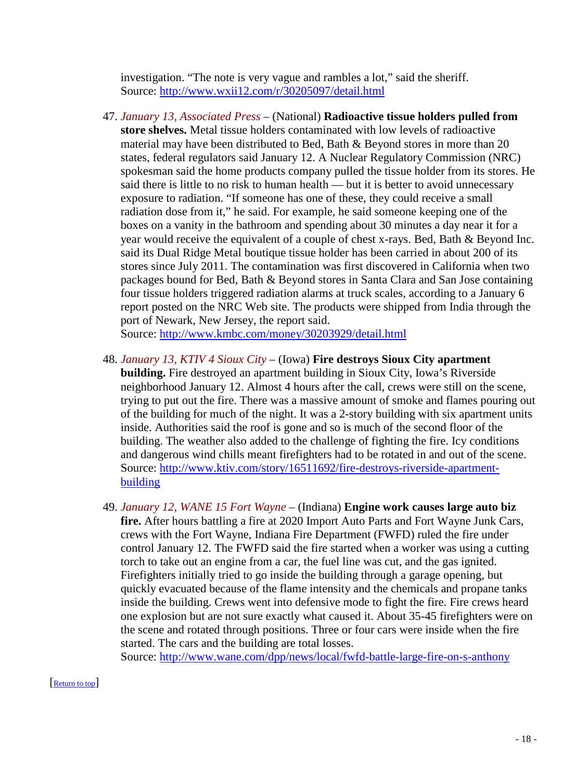investigation. "The note is very vague and rambles a lot," said the sheriff. Source:<http://www.wxii12.com/r/30205097/detail.html>

47. *January 13, Associated Press* – (National) **Radioactive tissue holders pulled from store shelves.** Metal tissue holders contaminated with low levels of radioactive material may have been distributed to Bed, Bath & Beyond stores in more than 20 states, federal regulators said January 12. A Nuclear Regulatory Commission (NRC) spokesman said the home products company pulled the tissue holder from its stores. He said there is little to no risk to human health — but it is better to avoid unnecessary exposure to radiation. "If someone has one of these, they could receive a small radiation dose from it," he said. For example, he said someone keeping one of the boxes on a vanity in the bathroom and spending about 30 minutes a day near it for a year would receive the equivalent of a couple of chest x-rays. Bed, Bath & Beyond Inc. said its Dual Ridge Metal boutique tissue holder has been carried in about 200 of its stores since July 2011. The contamination was first discovered in California when two packages bound for Bed, Bath & Beyond stores in Santa Clara and San Jose containing four tissue holders triggered radiation alarms at truck scales, according to a January 6 report posted on the NRC Web site. The products were shipped from India through the port of Newark, New Jersey, the report said.

Source:<http://www.kmbc.com/money/30203929/detail.html>

- 48. *January 13, KTIV 4 Sioux City* (Iowa) **Fire destroys Sioux City apartment building.** Fire destroyed an apartment building in Sioux City, Iowa's Riverside neighborhood January 12. Almost 4 hours after the call, crews were still on the scene, trying to put out the fire. There was a massive amount of smoke and flames pouring out of the building for much of the night. It was a 2-story building with six apartment units inside. Authorities said the roof is gone and so is much of the second floor of the building. The weather also added to the challenge of fighting the fire. Icy conditions and dangerous wind chills meant firefighters had to be rotated in and out of the scene. Source: [http://www.ktiv.com/story/16511692/fire-destroys-riverside-apartment](http://www.ktiv.com/story/16511692/fire-destroys-riverside-apartment-building)[building](http://www.ktiv.com/story/16511692/fire-destroys-riverside-apartment-building)
- 49. *January 12, WANE 15 Fort Wayne* (Indiana) **Engine work causes large auto biz fire.** After hours battling a fire at 2020 Import Auto Parts and Fort Wayne Junk Cars, crews with the Fort Wayne, Indiana Fire Department (FWFD) ruled the fire under control January 12. The FWFD said the fire started when a worker was using a cutting torch to take out an engine from a car, the fuel line was cut, and the gas ignited. Firefighters initially tried to go inside the building through a garage opening, but quickly evacuated because of the flame intensity and the chemicals and propane tanks inside the building. Crews went into defensive mode to fight the fire. Fire crews heard one explosion but are not sure exactly what caused it. About 35-45 firefighters were on the scene and rotated through positions. Three or four cars were inside when the fire started. The cars and the building are total losses.

<span id="page-17-0"></span>Source:<http://www.wane.com/dpp/news/local/fwfd-battle-large-fire-on-s-anthony>

#### [\[Return to top\]](#page-0-1)